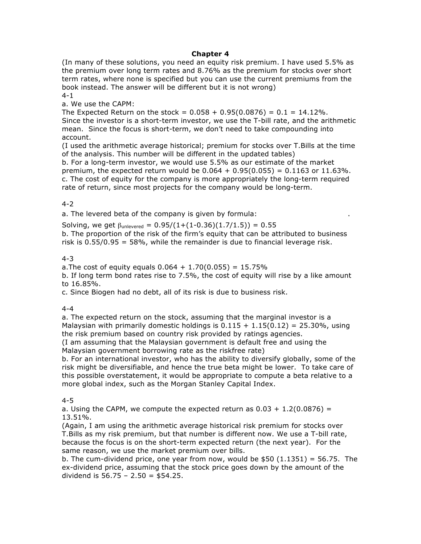#### **Chapter 4**

(In many of these solutions, you need an equity risk premium. I have used 5.5% as the premium over long term rates and 8.76% as the premium for stocks over short term rates, where none is specified but you can use the current premiums from the book instead. The answer will be different but it is not wrong) 4-1

a. We use the CAPM:

The Expected Return on the stock =  $0.058 + 0.95(0.0876) = 0.1 = 14.12\%$ . Since the investor is a short-term investor, we use the T-bill rate, and the arithmetic mean. Since the focus is short-term, we don't need to take compounding into account.

(I used the arithmetic average historical; premium for stocks over T.Bills at the time of the analysis. This number will be different in the updated tables)

b. For a long-term investor, we would use 5.5% as our estimate of the market premium, the expected return would be  $0.064 + 0.95(0.055) = 0.1163$  or  $11.63\%$ . c. The cost of equity for the company is more appropriately the long-term required rate of return, since most projects for the company would be long-term.

#### 4-2

a. The levered beta of the company is given by formula: .

Solving, we get  $\beta_{\text{unlevered}} = 0.95/(1+(1-0.36)(1.7/1.5)) = 0.55$ 

b. The proportion of the risk of the firm's equity that can be attributed to business risk is  $0.55/0.95 = 58\%$ , while the remainder is due to financial leverage risk.

#### 4-3

a. The cost of equity equals  $0.064 + 1.70(0.055) = 15.75\%$ 

b. If long term bond rates rise to 7.5%, the cost of equity will rise by a like amount to 16.85%.

c. Since Biogen had no debt, all of its risk is due to business risk.

#### 4-4

a. The expected return on the stock, assuming that the marginal investor is a Malaysian with primarily domestic holdings is  $0.115 + 1.15(0.12) = 25.30\%$ , using the risk premium based on country risk provided by ratings agencies.

(I am assuming that the Malaysian government is default free and using the Malaysian government borrowing rate as the riskfree rate)

b. For an international investor, who has the ability to diversify globally, some of the risk might be diversifiable, and hence the true beta might be lower. To take care of this possible overstatement, it would be appropriate to compute a beta relative to a more global index, such as the Morgan Stanley Capital Index.

#### 4-5

a. Using the CAPM, we compute the expected return as  $0.03 + 1.2(0.0876) =$ 13.51%.

(Again, I am using the arithmetic average historical risk premium for stocks over T.Bills as my risk premium, but that number is different now. We use a T-bill rate, because the focus is on the short-term expected return (the next year). For the same reason, we use the market premium over bills.

b. The cum-dividend price, one year from now, would be  $$50$  (1.1351) = 56.75. The ex-dividend price, assuming that the stock price goes down by the amount of the dividend is  $56.75 - 2.50 = $54.25$ .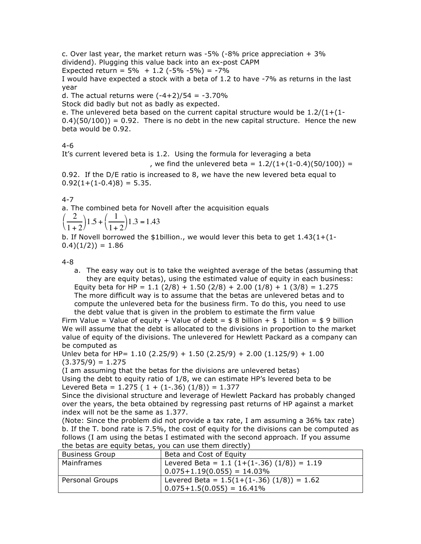c. Over last year, the market return was -5% (-8% price appreciation  $+3\%$ dividend). Plugging this value back into an ex-post CAPM Expected return =  $5\% + 1.2$  (-5% -5%) = -7% I would have expected a stock with a beta of 1.2 to have -7% as returns in the last year

d. The actual returns were  $(-4+2)/54 = -3.70\%$ 

Stock did badly but not as badly as expected.

e. The unlevered beta based on the current capital structure would be  $1.2/(1+(1-i))$  $0.4$  $(50/100)$  = 0.92. There is no debt in the new capital structure. Hence the new beta would be 0.92.

4-6

It's current levered beta is 1.2. Using the formula for leveraging a beta

, we find the unlevered beta =  $1.2/(1+(1-0.4)(50/100))$  =

0.92. If the D/E ratio is increased to 8, we have the new levered beta equal to  $0.92(1+(1-0.4)8) = 5.35.$ 

4-7

a. The combined beta for Novell after the acquisition equals

$$
\left(\frac{2}{1+2}\right)1.5 + \left(\frac{1}{1+2}\right)1.3 = 1.43
$$

b. If Novell borrowed the \$1billion., we would lever this beta to get  $1.43(1+(1 (0.4)(1/2)) = 1.86$ 

4-8

a. The easy way out is to take the weighted average of the betas (assuming that they are equity betas), using the estimated value of equity in each business: Equity beta for HP =  $1.1$  (2/8) +  $1.50$  (2/8) +  $2.00$  (1/8) +  $1$  (3/8) =  $1.275$ The more difficult way is to assume that the betas are unlevered betas and to compute the unlevered beta for the business firm. To do this, you need to use

the debt value that is given in the problem to estimate the firm value Firm Value = Value of equity + Value of debt =  $$8$  billion +  $$1$  billion =  $$9$  billion We will assume that the debt is allocated to the divisions in proportion to the market value of equity of the divisions. The unlevered for Hewlett Packard as a company can be computed as

Unlev beta for HP=  $1.10$  (2.25/9) +  $1.50$  (2.25/9) +  $2.00$  (1.125/9) +  $1.00$  $(3.375/9) = 1.275$ 

(I am assuming that the betas for the divisions are unlevered betas)

Using the debt to equity ratio of 1/8, we can estimate HP's levered beta to be Levered Beta =  $1.275$  (  $1 + (1-.36)$  (1/8)) = 1.377

Since the divisional structure and leverage of Hewlett Packard has probably changed over the years, the beta obtained by regressing past returns of HP against a market index will not be the same as 1.377.

(Note: Since the problem did not provide a tax rate, I am assuming a 36% tax rate) b. If the T. bond rate is 7.5%, the cost of equity for the divisions can be computed as follows (I am using the betas I estimated with the second approach. If you assume the betas are equity betas, you can use them directly)

| <b>Business Group</b> | Beta and Cost of Equity                       |
|-----------------------|-----------------------------------------------|
| Mainframes            | Levered Beta = $1.1$ (1+(1-.36) (1/8)) = 1.19 |
|                       | $0.075 + 1.19(0.055) = 14.03\%$               |
| Personal Groups       | Levered Beta = $1.5(1+(1-.36) (1/8)) = 1.62$  |
|                       | $0.075 + 1.5(0.055) = 16.41\%$                |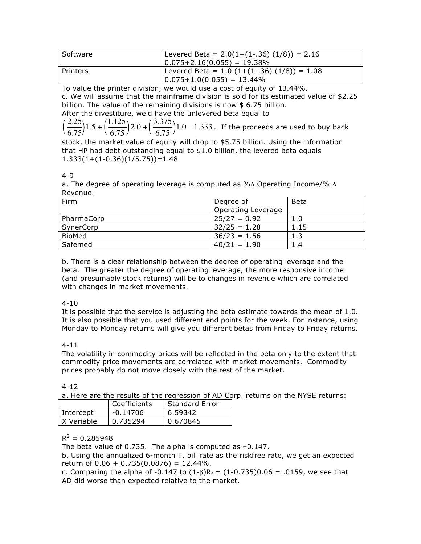| Software | Levered Beta = $2.0(1+(1-.36) (1/8)) = 2.16$<br>$  0.075 + 2.16(0.055) = 19.38\%$ |
|----------|-----------------------------------------------------------------------------------|
| Printers | Levered Beta = $1.0$ (1+(1-.36) (1/8)) = 1.08<br>$0.075 + 1.0(0.055) = 13.44\%$   |

To value the printer division, we would use a cost of equity of 13.44%.

c. We will assume that the mainframe division is sold for its estimated value of \$2.25 billion. The value of the remaining divisions is now \$ 6.75 billion.

After the divestiture, we'd have the unlevered beta equal to

2.25 6.75  $\left(\frac{2.25}{6.75}\right)1.5 +$ 1.125 6.75  $\left(\frac{1.125}{6.75}\right)2.0 +$ 3.375 6.75  $\left(\frac{3.375}{6.75}\right)1.0 = 1.333$ . If the proceeds are used to buy back

stock, the market value of equity will drop to \$5.75 billion. Using the information that HP had debt outstanding equal to \$1.0 billion, the levered beta equals  $1.333(1+(1-0.36)(1/5.75))=1.48$ 

## 4-9

a. The degree of operating leverage is computed as % $\Delta$  Operating Income/%  $\Delta$ Revenue.

| Firm          | Degree of                 | <b>Beta</b> |
|---------------|---------------------------|-------------|
|               | <b>Operating Leverage</b> |             |
| PharmaCorp    | $25/27 = 0.92$            | 1.0         |
| SynerCorp     | $32/25 = 1.28$            | 1.15        |
| <b>BioMed</b> | $36/23 = 1.56$            | 1.3         |
| Safemed       | $40/21 = 1.90$            | 1.4         |

b. There is a clear relationship between the degree of operating leverage and the beta. The greater the degree of operating leverage, the more responsive income (and presumably stock returns) will be to changes in revenue which are correlated with changes in market movements.

## 4-10

It is possible that the service is adjusting the beta estimate towards the mean of 1.0. It is also possible that you used different end points for the week. For instance, using Monday to Monday returns will give you different betas from Friday to Friday returns.

## 4-11

The volatility in commodity prices will be reflected in the beta only to the extent that commodity price movements are correlated with market movements. Commodity prices probably do not move closely with the rest of the market.

## 4-12

a. Here are the results of the regression of AD Corp. returns on the NYSE returns:

|            | Coefficients | <b>Standard Error</b> |  |
|------------|--------------|-----------------------|--|
| Intercept  | $-0.14706$   | 6.59342               |  |
| X Variable | 0.735294     | 0.670845              |  |

# $R^2 = 0.285948$

The beta value of 0.735. The alpha is computed as –0.147.

b. Using the annualized 6-month T. bill rate as the riskfree rate, we get an expected return of  $0.06 + 0.735(0.0876) = 12.44\%$ .

c. Comparing the alpha of -0.147 to  $(1-\beta)R_f = (1-0.735)0.06 = .0159$ , we see that AD did worse than expected relative to the market.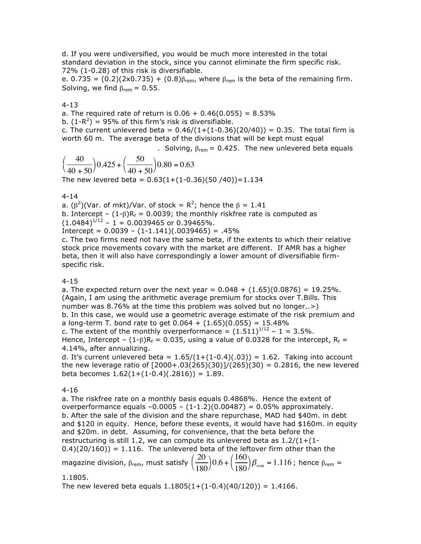d. If you were undiversified, you would be much more interested in the total standard deviation in the stock, since you cannot eliminate the firm specific risk. 72% (1-0.28) of this risk is diversifiable.

e. 0.735 =  $(0.2)(2x0.735) + (0.8)\beta_{rem}$ , where  $\beta_{rem}$  is the beta of the remaining firm. Solving, we find  $\beta_{\text{rem}} = 0.55$ .

4-13

a. The required rate of return is  $0.06 + 0.46(0.055) = 8.53\%$ 

b.  $(1-R^2)$  = 95% of this firm's risk is diversifiable.

c. The current unlevered beta =  $0.46/(1+(1-0.36)(20/40)) = 0.35$ . The total firm is worth 60 m. The average beta of the divisions that will be kept must equal

. Solving,  $β_{rem} = 0.425$ . The new unlevered beta equals

40 40 + 50  $\left(\frac{40}{40+50}\right)$ 0.425 + 50 40 + 50  $\left(\frac{50}{40+50}\right)$ 0.80 = 0.63 The new levered beta =  $0.63(1+(1-0.36)(50/40))=1.134$ 

4-14

a.  $(\beta^2)(\text{Var. of mkt})/\text{Var. of stock} = R^2$ ; hence the  $\beta = 1.41$ 

b. Intercept –  $(1-\beta)R_f = 0.0039$ ; the monthly riskfree rate is computed as

 $(1.0484)^{1/12}$  – 1 = 0.0039465 or 0.39465%.

 $Intercept = 0.0039 - (1-1.141)(.0039465) = .45%$ 

c. The two firms need not have the same beta, if the extents to which their relative stock price movements covary with the market are different. If AMR has a higher beta, then it will also have correspondingly a lower amount of diversifiable firmspecific risk.

4-15

a. The expected return over the next year =  $0.048 + (1.65)(0.0876) = 19.25\%$ . (Again, I am using the arithmetic average premium for stocks over T.Bills. This number was 8.76% at the time this problem was solved but no longer..>) b. In this case, we would use a geometric average estimate of the risk premium and a long-term T. bond rate to get  $0.064 + (1.65)(0.055) = 15.48\%$ c. The extent of the monthly overperformance =  $(1.511)^{1/12}$  - 1 = 3.5%.

Hence, Intercept –  $(1-\beta)R_f = 0.035$ , using a value of 0.0328 for the intercept,  $R_f =$ 4.14%, after annualizing.

d. It's current unlevered beta =  $1.65/(1+(1-0.4)(.03)) = 1.62$ . Taking into account the new leverage ratio of  $[2000+.03(265)(30)]/(265)(30) = 0.2816$ , the new levered beta becomes  $1.62(1+(1-0.4)(.2816)) = 1.89$ .

4-16

a. The riskfree rate on a monthly basis equals 0.4868%. Hence the extent of overperformance equals  $-0.0005 - (1-1.2)(0.00487) = 0.05%$  approximately. b. After the sale of the division and the share repurchase, MAD had \$40m. in debt and \$120 in equity. Hence, before these events, it would have had \$160m. in equity and \$20m. in debt. Assuming, for convenience, that the beta before the restructuring is still 1.2, we can compute its unlevered beta as  $1.2/(1+(1 0.4$ )(20/160)) = 1.116. The unlevered beta of the leftover firm other than the magazine division,  $\beta_{\text{rem}}$ , must satisfy  $\left(\frac{20}{100}\right)$ 180  $\left(\frac{20}{180}\right)0.6 +$ 160 180  $\left(\frac{160}{180}\right)\beta_{rem}$  =  $1.116$  ; hence  $\beta_{rem}$  =

1.1805.

The new levered beta equals  $1.1805(1+(1-0.4)(40/120)) = 1.4166$ .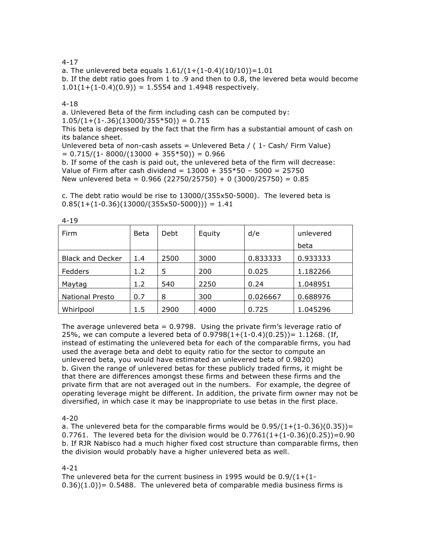4-17

a. The unlevered beta equals  $1.61/(1+(1-0.4)(10/10))=1.01$ b. If the debt ratio goes from 1 to .9 and then to 0.8, the levered beta would become  $1.01(1+(1-0.4)(0.9)) = 1.5554$  and 1.4948 respectively.

### 4-18

a. Unlevered Beta of the firm including cash can be computed by:  $1.05/(1+(1-.36)(13000/355*50)) = 0.715$ 

This beta is depressed by the fact that the firm has a substantial amount of cash on its balance sheet.

Unlevered beta of non-cash assets = Unlevered Beta /  $(1 - Cash / Firm Value)$  $= 0.715/(1 - 8000/(13000 + 355*50)) = 0.966$ 

b. If some of the cash is paid out, the unlevered beta of the firm will decrease: Value of Firm after cash dividend =  $13000 + 355*50 - 5000 = 25750$ New unlevered beta =  $0.966$  (22750/25750) + 0 (3000/25750) =  $0.85$ 

c. The debt ratio would be rise to 13000/(355x50-5000). The levered beta is  $0.85(1+(1-0.36)(13000/(355x50-5000))) = 1.41$ 

| Firm                    | <b>Beta</b> | Debt | Equity | d/e      | unlevered |
|-------------------------|-------------|------|--------|----------|-----------|
|                         |             |      |        |          | beta      |
| <b>Black and Decker</b> | 1.4         | 2500 | 3000   | 0.833333 | 0.933333  |
| Fedders                 | 1.2         | 5    | 200    | 0.025    | 1.182266  |
| Maytag                  | 1.2         | 540  | 2250   | 0.24     | 1.048951  |
| <b>National Presto</b>  | 0.7         | 8    | 300    | 0.026667 | 0.688976  |
| Whirlpool               | 1.5         | 2900 | 4000   | 0.725    | 1.045296  |

4-19

The average unlevered beta  $= 0.9798$ . Using the private firm's leverage ratio of 25%, we can compute a levered beta of  $0.9798(1+(1-0.4)(0.25))=1.1268$ . (If, instead of estimating the unlevered beta for each of the comparable firms, you had used the average beta and debt to equity ratio for the sector to compute an unlevered beta, you would have estimated an unlevered beta of 0.9820) b. Given the range of unlevered betas for these publicly traded firms, it might be that there are differences amongst these firms and between these firms and the private firm that are not averaged out in the numbers. For example, the degree of operating leverage might be different. In addition, the private firm owner may not be diversified, in which case it may be inappropriate to use betas in the first place.

### 4-20

a. The unlevered beta for the comparable firms would be  $0.95/(1+(1-0.36)(0.35))$  = 0.7761. The levered beta for the division would be  $0.7761(1+(1-0.36)(0.25))=0.90$ b. If RJR Nabisco had a much higher fixed cost structure than comparable firms, then the division would probably have a higher unlevered beta as well.

### 4-21

The unlevered beta for the current business in 1995 would be  $0.9/(1+(1 (0.36)(1.0)$  = 0.5488. The unlevered beta of comparable media business firms is